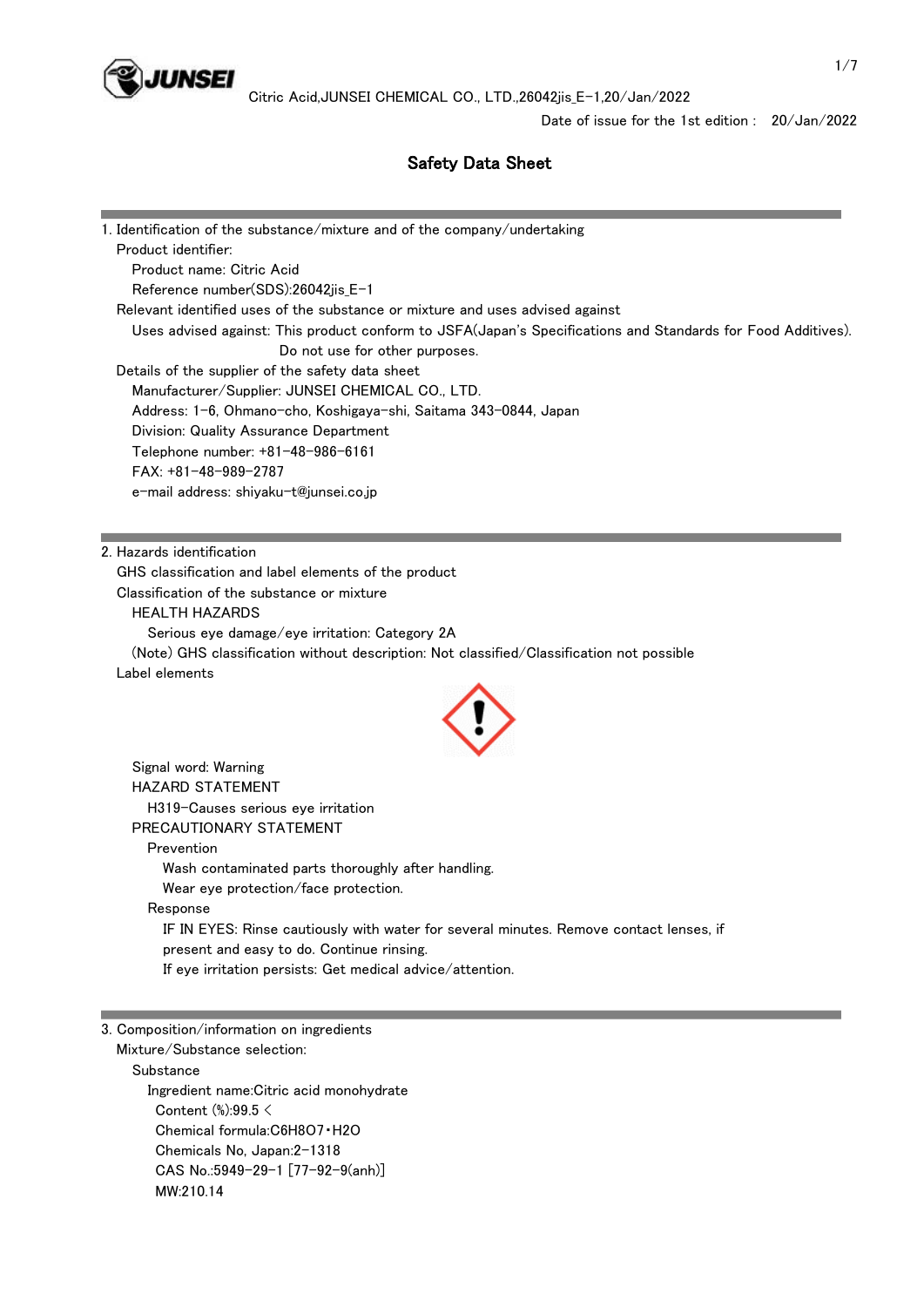

## Safety Data Sheet

| 1. Identification of the substance/mixture and of the company/undertaking                                    |  |
|--------------------------------------------------------------------------------------------------------------|--|
| Product identifier:                                                                                          |  |
| Product name: Citric Acid                                                                                    |  |
| Reference number(SDS):26042jis_E-1                                                                           |  |
| Relevant identified uses of the substance or mixture and uses advised against                                |  |
| Uses advised against: This product conform to JSFA(Japan's Specifications and Standards for Food Additives). |  |
| Do not use for other purposes.                                                                               |  |
| Details of the supplier of the safety data sheet                                                             |  |
| Manufacturer/Supplier: JUNSEI CHEMICAL CO., LTD.                                                             |  |
| Address: 1-6, Ohmano-cho, Koshigaya-shi, Saitama 343-0844, Japan                                             |  |
| Division: Quality Assurance Department                                                                       |  |
| Telephone number: +81-48-986-6161                                                                            |  |
| FAX: +81-48-989-2787                                                                                         |  |
| e-mail address: shiyaku-t@junsei.co.jp                                                                       |  |
|                                                                                                              |  |
|                                                                                                              |  |
| 2. Hazards identification                                                                                    |  |
| GHS classification and label elements of the product                                                         |  |
| Classification of the substance or mixture                                                                   |  |
| <b>HEALTH HAZARDS</b>                                                                                        |  |
| Serious eye damage/eye irritation: Category 2A                                                               |  |
| (Note) GHS classification without description: Not classified/Classification not possible<br>Label elements  |  |
|                                                                                                              |  |
| Signal word: Warning                                                                                         |  |
| <b>HAZARD STATEMENT</b>                                                                                      |  |
| H319-Causes serious eye irritation                                                                           |  |
| PRECAUTIONARY STATEMENT                                                                                      |  |
| Prevention                                                                                                   |  |
| Wash contaminated parts thoroughly after handling.                                                           |  |
| Wear eye protection/face protection.                                                                         |  |
| Response                                                                                                     |  |
|                                                                                                              |  |
| IF IN EYES: Rinse cautiously with water for several minutes. Remove contact lenses, if                       |  |
| present and easy to do. Continue rinsing.                                                                    |  |

Mixture/Substance selection:

 Substance Ingredient name:Citric acid monohydrate Content (%):99.5 < Chemical formula:C6H8O7・H2O Chemicals No, Japan:2-1318 CAS No.:5949-29-1 [77-92-9(anh)] MW:210.14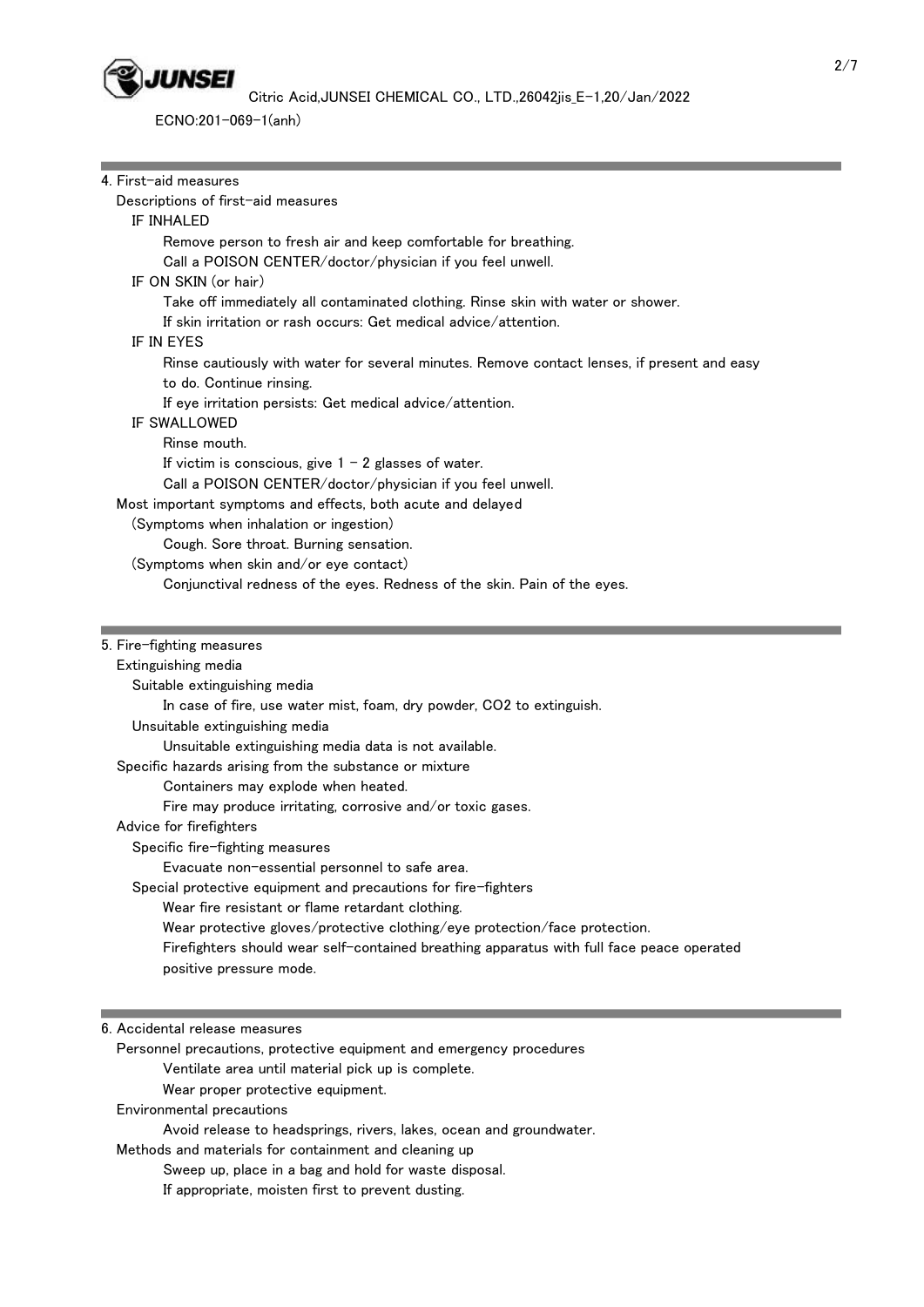

ECNO:201-069-1(anh)

| 4. First-aid measures                                                                                                      |  |
|----------------------------------------------------------------------------------------------------------------------------|--|
| Descriptions of first-aid measures                                                                                         |  |
| IF INHALED                                                                                                                 |  |
| Remove person to fresh air and keep comfortable for breathing.                                                             |  |
| Call a POISON CENTER/doctor/physician if you feel unwell.                                                                  |  |
| IF ON SKIN (or hair)                                                                                                       |  |
| Take off immediately all contaminated clothing. Rinse skin with water or shower.                                           |  |
| If skin irritation or rash occurs: Get medical advice/attention.                                                           |  |
| IF IN EYES                                                                                                                 |  |
| Rinse cautiously with water for several minutes. Remove contact lenses, if present and easy                                |  |
| to do. Continue rinsing.                                                                                                   |  |
| If eye irritation persists: Get medical advice/attention.                                                                  |  |
| IF SWALLOWED                                                                                                               |  |
| Rinse mouth.                                                                                                               |  |
| If victim is conscious, give $1 - 2$ glasses of water.                                                                     |  |
| Call a POISON CENTER/doctor/physician if you feel unwell.                                                                  |  |
| Most important symptoms and effects, both acute and delayed                                                                |  |
| (Symptoms when inhalation or ingestion)                                                                                    |  |
| Cough. Sore throat. Burning sensation.                                                                                     |  |
| (Symptoms when skin and/or eye contact)                                                                                    |  |
| Conjunctival redness of the eyes. Redness of the skin. Pain of the eyes.                                                   |  |
|                                                                                                                            |  |
| 5. Fire-fighting measures                                                                                                  |  |
| Extinguishing media                                                                                                        |  |
| Suitable extinguishing media                                                                                               |  |
| In case of fire, use water mist, foam, dry powder, CO2 to extinguish.                                                      |  |
| Unsuitable extinguishing media                                                                                             |  |
| Unsuitable extinguishing media data is not available.                                                                      |  |
| Specific hazards arising from the substance or mixture                                                                     |  |
| Containers may explode when heated.                                                                                        |  |
| Fire may produce irritating, corrosive and/or toxic gases.                                                                 |  |
| Advice for firefighters                                                                                                    |  |
| Specific fire-fighting measures                                                                                            |  |
| Evacuate non-essential personnel to safe area                                                                              |  |
| Special protective equipment and precautions for fire-fighters                                                             |  |
| Wear fire resistant or flame retardant clothing.                                                                           |  |
| Wear protective gloves/protective clothing/eye protection/face protection.                                                 |  |
| Firefighters should wear self-contained breathing apparatus with full face peace operated                                  |  |
| positive pressure mode.                                                                                                    |  |
|                                                                                                                            |  |
|                                                                                                                            |  |
| 6. Accidental release measures                                                                                             |  |
| Personnel precautions, protective equipment and emergency procedures<br>Ventilate area until material pick up is complete. |  |
|                                                                                                                            |  |

Wear proper protective equipment.

Environmental precautions

Avoid release to headsprings, rivers, lakes, ocean and groundwater.

Methods and materials for containment and cleaning up

Sweep up, place in a bag and hold for waste disposal.

If appropriate, moisten first to prevent dusting.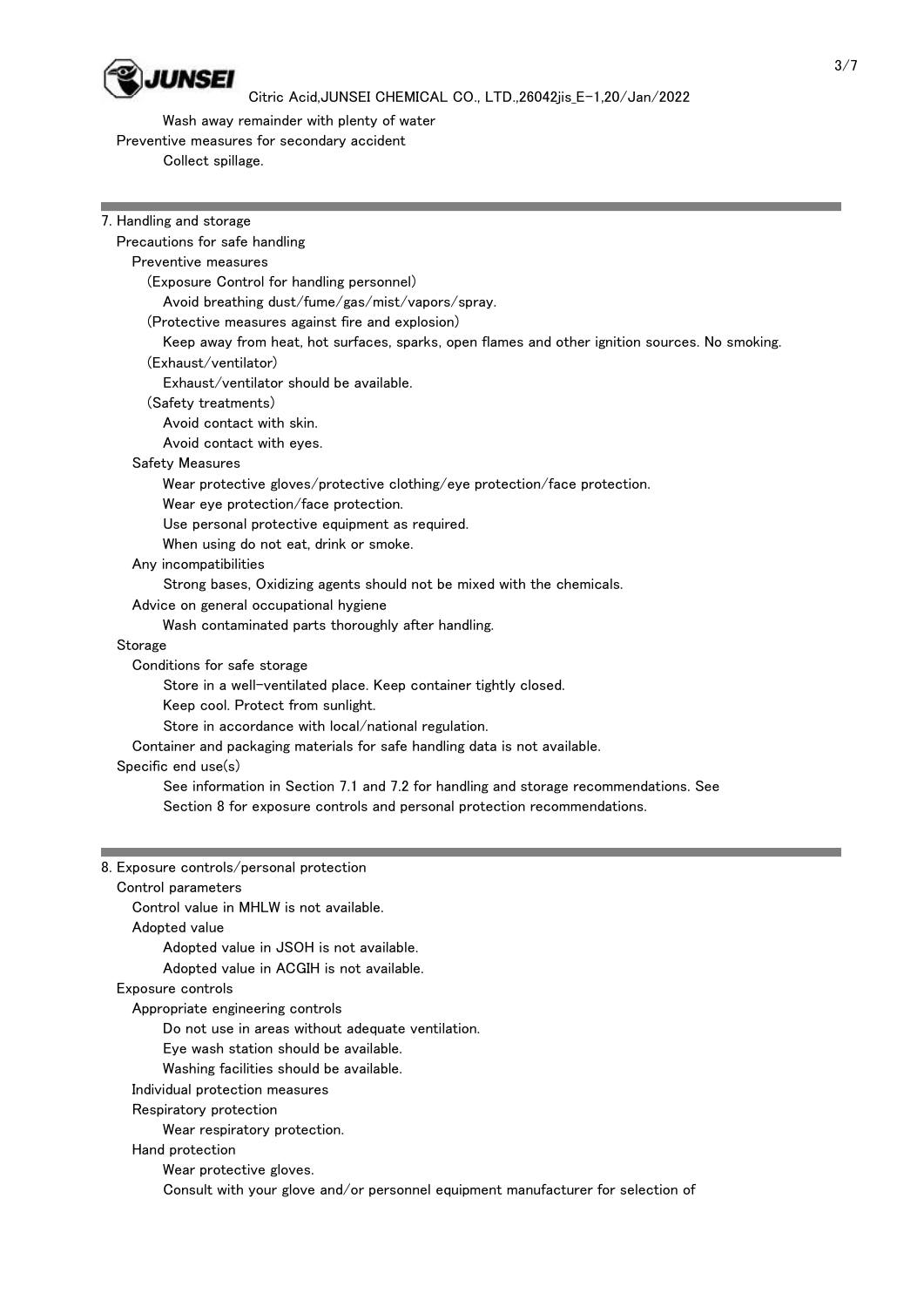

Wash away remainder with plenty of water

Preventive measures for secondary accident

Collect spillage.

| 7. Handling and storage                                                                        |  |
|------------------------------------------------------------------------------------------------|--|
| Precautions for safe handling                                                                  |  |
| Preventive measures                                                                            |  |
| (Exposure Control for handling personnel)                                                      |  |
| Avoid breathing dust/fume/gas/mist/vapors/spray.                                               |  |
| (Protective measures against fire and explosion)                                               |  |
| Keep away from heat, hot surfaces, sparks, open flames and other ignition sources. No smoking. |  |
| (Exhaust/ventilator)                                                                           |  |
| Exhaust/ventilator should be available.                                                        |  |
| (Safety treatments)                                                                            |  |
| Avoid contact with skin.                                                                       |  |
| Avoid contact with eyes.                                                                       |  |
| Safety Measures                                                                                |  |
| Wear protective gloves/protective clothing/eye protection/face protection.                     |  |
| Wear eye protection/face protection.                                                           |  |
| Use personal protective equipment as required.                                                 |  |
| When using do not eat, drink or smoke.                                                         |  |
| Any incompatibilities                                                                          |  |
| Strong bases, Oxidizing agents should not be mixed with the chemicals.                         |  |
| Advice on general occupational hygiene                                                         |  |
| Wash contaminated parts thoroughly after handling.                                             |  |
| Storage                                                                                        |  |
| Conditions for safe storage                                                                    |  |
| Store in a well-ventilated place. Keep container tightly closed.                               |  |
| Keep cool. Protect from sunlight.                                                              |  |
| Store in accordance with local/national regulation.                                            |  |
| Container and packaging materials for safe handling data is not available.                     |  |
| Specific end use(s)                                                                            |  |
| See information in Section 7.1 and 7.2 for handling and storage recommendations. See           |  |
| Section 8 for exposure controls and personal protection recommendations.                       |  |
|                                                                                                |  |
|                                                                                                |  |
| 8. Exposure controls/personal protection                                                       |  |
| Control parameters                                                                             |  |
| Control value in MHLW is not available.                                                        |  |
| Adopted value                                                                                  |  |
| Adopted value in JSOH is not available.                                                        |  |
| Adopted value in ACGIH is not available.                                                       |  |
| Exposure controls                                                                              |  |
| Appropriate engineering controls                                                               |  |
| Do not use in areas without adequate ventilation.                                              |  |
| Eye wash station should be available.                                                          |  |
| Washing facilities should be available.                                                        |  |
| Individual protection measures                                                                 |  |
| Respiratory protection                                                                         |  |
| Wear respiratory protection.                                                                   |  |
| Hand protection                                                                                |  |
| Wear protective gloves.                                                                        |  |
| Consult with your glove and/or personnel equipment manufacturer for selection of               |  |
|                                                                                                |  |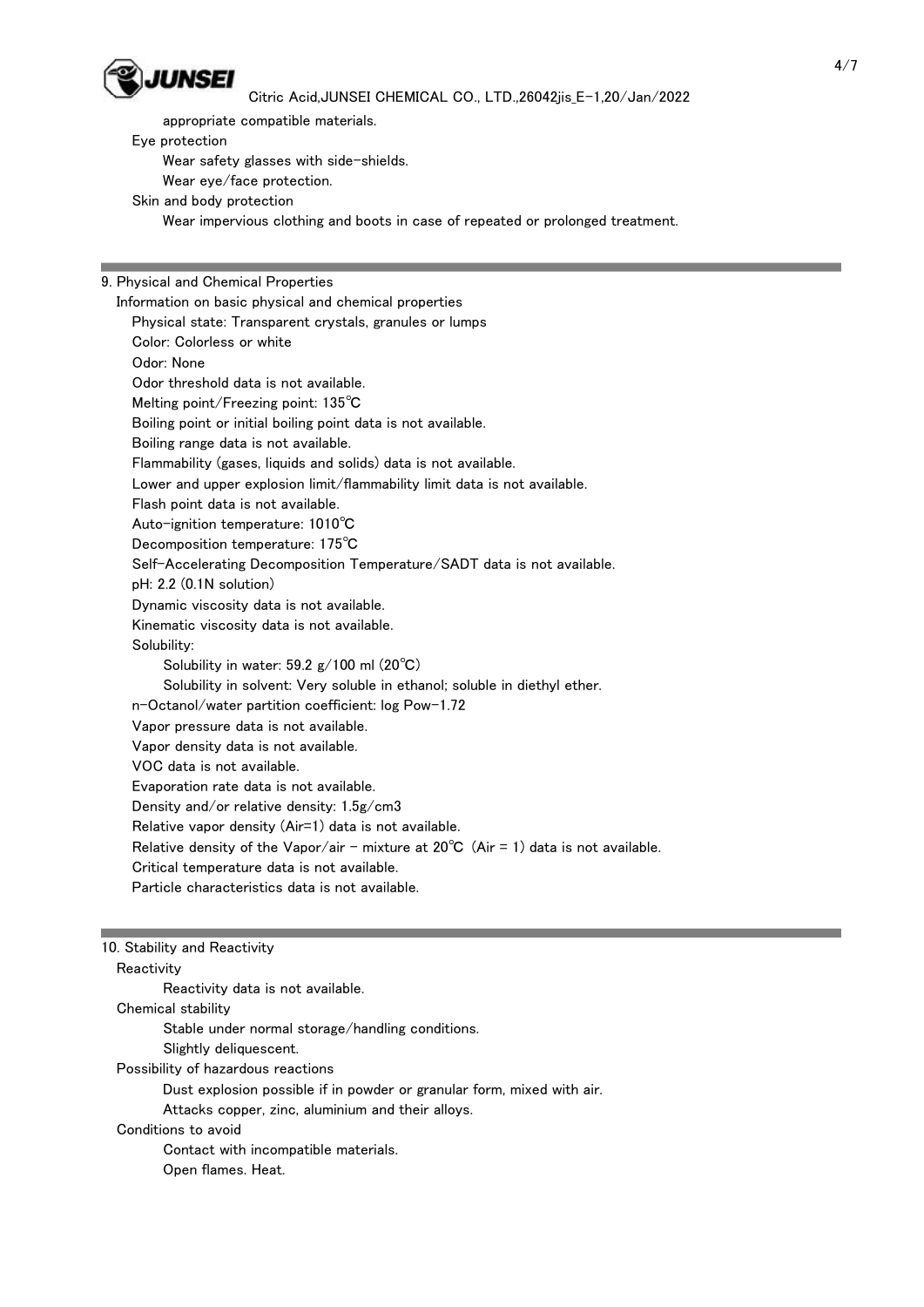

### Citric Acid,JUNSEI CHEMICAL CO., LTD.,26042jis\_E-1,20/Jan/2022

appropriate compatible materials.

Eye protection

Wear safety glasses with side-shields.

Wear eye/face protection.

Skin and body protection

Wear impervious clothing and boots in case of repeated or prolonged treatment.

### 9. Physical and Chemical Properties

 Information on basic physical and chemical properties Physical state: Transparent crystals, granules or lumps Color: Colorless or white Odor: None Odor threshold data is not available. Melting point/Freezing point: 135℃ Boiling point or initial boiling point data is not available. Boiling range data is not available. Flammability (gases, liquids and solids) data is not available. Lower and upper explosion limit/flammability limit data is not available. Flash point data is not available. Auto-ignition temperature: 1010℃ Decomposition temperature: 175℃ Self-Accelerating Decomposition Temperature/SADT data is not available. pH: 2.2 (0.1N solution) Dynamic viscosity data is not available. Kinematic viscosity data is not available. Solubility: Solubility in water: 59.2 g/100 ml (20℃) Solubility in solvent: Very soluble in ethanol; soluble in diethyl ether. n-Octanol/water partition coefficient: log Pow-1.72 Vapor pressure data is not available. Vapor density data is not available. VOC data is not available. Evaporation rate data is not available. Density and/or relative density: 1.5g/cm3 Relative vapor density (Air=1) data is not available. Relative density of the Vapor/air - mixture at  $20^{\circ}C$  (Air = 1) data is not available. Critical temperature data is not available. Particle characteristics data is not available.

| 10. Stability and Reactivity                                           |
|------------------------------------------------------------------------|
| Reactivity                                                             |
| Reactivity data is not available.                                      |
| Chemical stability                                                     |
| Stable under normal storage/handling conditions.                       |
| Slightly deliquescent.                                                 |
| Possibility of hazardous reactions                                     |
| Dust explosion possible if in powder or granular form, mixed with air. |
| Attacks copper, zinc, aluminium and their alloys.                      |
| Conditions to avoid                                                    |
| Contact with incompatible materials.                                   |
| Open flames. Heat.                                                     |
|                                                                        |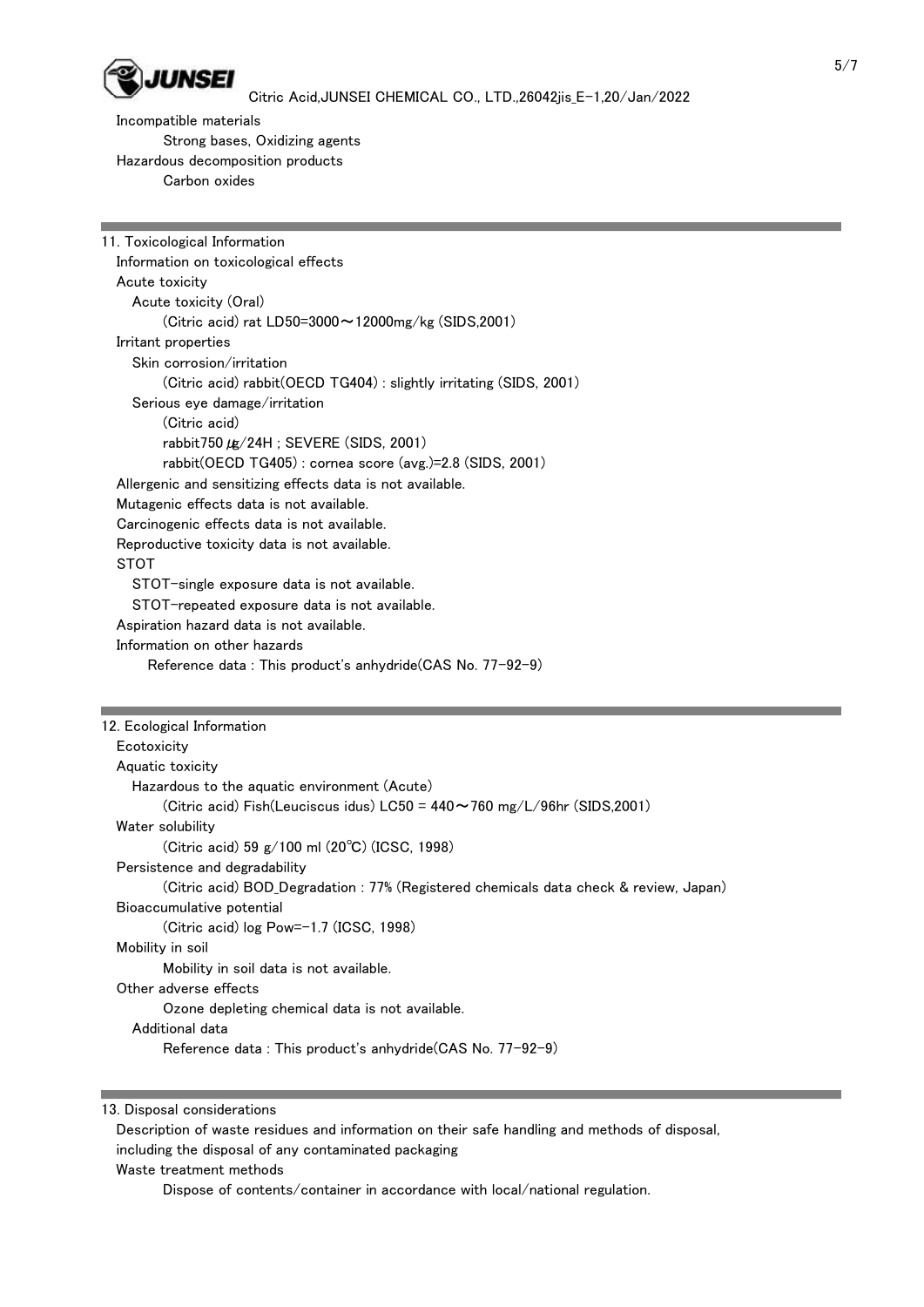

## Citric Acid,JUNSEI CHEMICAL CO., LTD.,26042jis\_E-1,20/Jan/2022

 Incompatible materials Strong bases, Oxidizing agents Hazardous decomposition products Carbon oxides

| 11. Toxicological Information                                                         |  |  |  |
|---------------------------------------------------------------------------------------|--|--|--|
| Information on toxicological effects                                                  |  |  |  |
| Acute toxicity                                                                        |  |  |  |
| Acute toxicity (Oral)                                                                 |  |  |  |
| (Citric acid) rat LD50=3000~12000mg/kg (SIDS,2001)                                    |  |  |  |
| Irritant properties                                                                   |  |  |  |
| Skin corrosion/irritation                                                             |  |  |  |
| (Citric acid) rabbit(OECD TG404) : slightly irritating (SIDS, 2001)                   |  |  |  |
| Serious eye damage/irritation                                                         |  |  |  |
| (Citric acid)                                                                         |  |  |  |
| rabbit750 µg/24H ; SEVERE (SIDS, 2001)                                                |  |  |  |
| rabbit(OECD TG405): cornea score (avg.)=2.8 (SIDS, 2001)                              |  |  |  |
| Allergenic and sensitizing effects data is not available.                             |  |  |  |
| Mutagenic effects data is not available.                                              |  |  |  |
| Carcinogenic effects data is not available.                                           |  |  |  |
| Reproductive toxicity data is not available.                                          |  |  |  |
| <b>STOT</b>                                                                           |  |  |  |
| STOT-single exposure data is not available.                                           |  |  |  |
| STOT-repeated exposure data is not available.                                         |  |  |  |
| Aspiration hazard data is not available.                                              |  |  |  |
| Information on other hazards                                                          |  |  |  |
| Reference data: This product's anhydride(CAS No. 77-92-9)                             |  |  |  |
|                                                                                       |  |  |  |
|                                                                                       |  |  |  |
| 12. Ecological Information                                                            |  |  |  |
| Ecotoxicity                                                                           |  |  |  |
| Aquatic toxicity                                                                      |  |  |  |
| Hazardous to the aquatic environment (Acute)                                          |  |  |  |
| (Citric acid) Fish(Leuciscus idus) LC50 = $440 \sim 760$ mg/L/96hr (SIDS,2001)        |  |  |  |
| Water solubility                                                                      |  |  |  |
| (Citric acid) 59 g/100 ml (20°C) (ICSC, 1998)                                         |  |  |  |
| Persistence and degradability                                                         |  |  |  |
| (Citric acid) BOD_Degradation : 77% (Registered chemicals data check & review, Japan) |  |  |  |
| Bioaccumulative potential                                                             |  |  |  |
| (Citric acid) log Pow=-1.7 (ICSC, 1998)                                               |  |  |  |
| Mobility in soil                                                                      |  |  |  |
| Mobility in soil data is not available.                                               |  |  |  |
| Other adverse effects                                                                 |  |  |  |

Ozone depleting chemical data is not available.

Additional data

Reference data : This product's anhydride(CAS No. 77-92-9)

13. Disposal considerations

 Description of waste residues and information on their safe handling and methods of disposal, including the disposal of any contaminated packaging

Waste treatment methods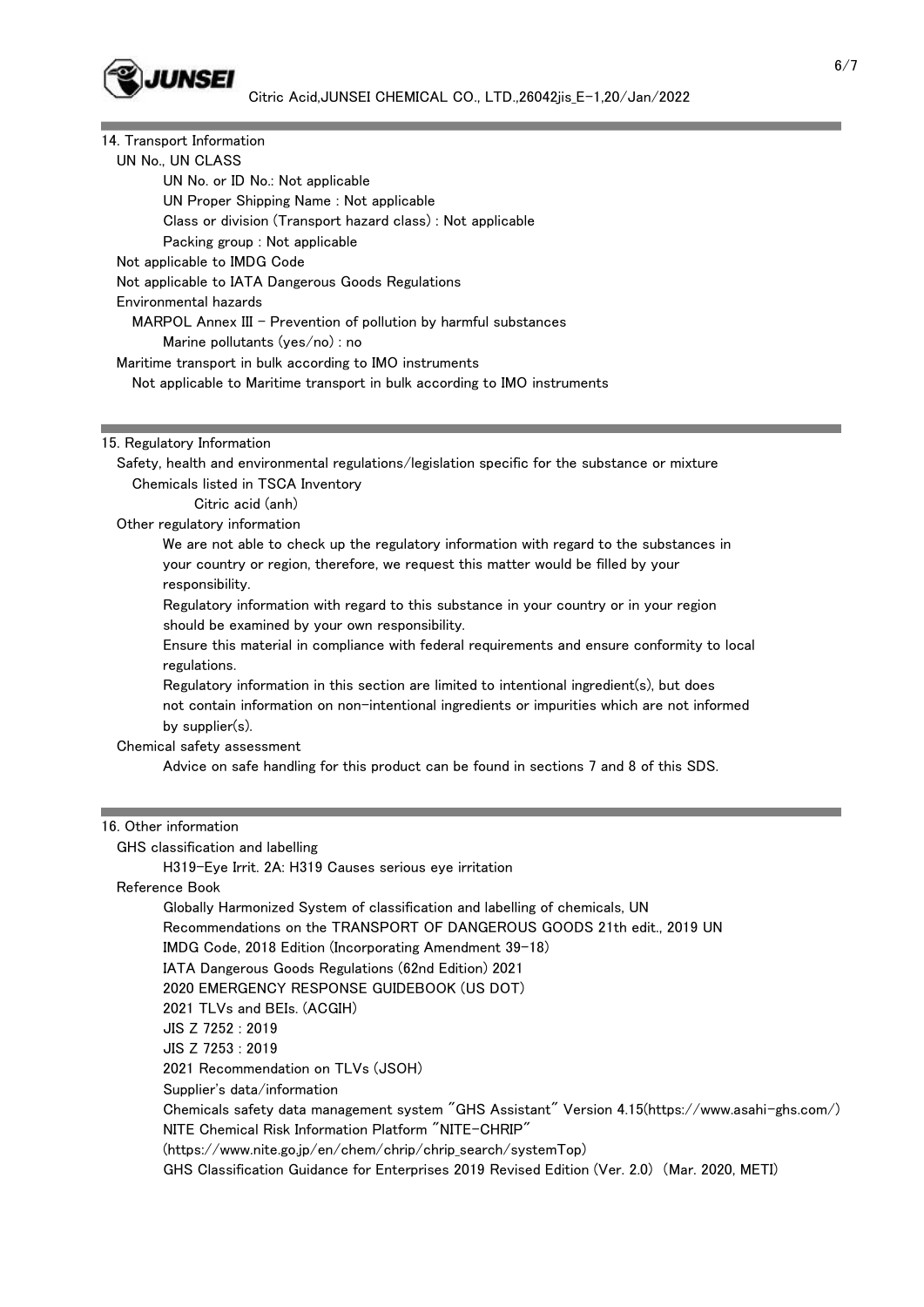

# 14. Transport Information

 UN No., UN CLASS UN No. or ID No.: Not applicable UN Proper Shipping Name : Not applicable Class or division (Transport hazard class) : Not applicable Packing group : Not applicable Not applicable to IMDG Code Not applicable to IATA Dangerous Goods Regulations Environmental hazards MARPOL Annex III - Prevention of pollution by harmful substances Marine pollutants (yes/no) : no Maritime transport in bulk according to IMO instruments Not applicable to Maritime transport in bulk according to IMO instruments

### 15. Regulatory Information

- Safety, health and environmental regulations/legislation specific for the substance or mixture Chemicals listed in TSCA Inventory
	- Citric acid (anh)

Other regulatory information

 We are not able to check up the regulatory information with regard to the substances in your country or region, therefore, we request this matter would be filled by your responsibility.

 Regulatory information with regard to this substance in your country or in your region should be examined by your own responsibility.

 Ensure this material in compliance with federal requirements and ensure conformity to local regulations.

 Regulatory information in this section are limited to intentional ingredient(s), but does not contain information on non-intentional ingredients or impurities which are not informed by supplier(s).

## Chemical safety assessment

Advice on safe handling for this product can be found in sections 7 and 8 of this SDS.

#### 16. Other information

GHS classification and labelling

H319-Eye Irrit. 2A: H319 Causes serious eye irritation

Reference Book

 Globally Harmonized System of classification and labelling of chemicals, UN Recommendations on the TRANSPORT OF DANGEROUS GOODS 21th edit., 2019 UN IMDG Code, 2018 Edition (Incorporating Amendment 39-18) IATA Dangerous Goods Regulations (62nd Edition) 2021 2020 EMERGENCY RESPONSE GUIDEBOOK (US DOT) 2021 TLVs and BEIs. (ACGIH) JIS Z 7252 : 2019 JIS Z 7253 : 2019 2021 Recommendation on TLVs (JSOH) Supplier's data/information Chemicals safety data management system "GHS Assistant" Version 4.15(https://www.asahi-ghs.com/) NITE Chemical Risk Information Platform "NITE-CHRIP" (https://www.nite.go.jp/en/chem/chrip/chrip\_search/systemTop)

GHS Classification Guidance for Enterprises 2019 Revised Edition (Ver. 2.0) (Mar. 2020, METI)